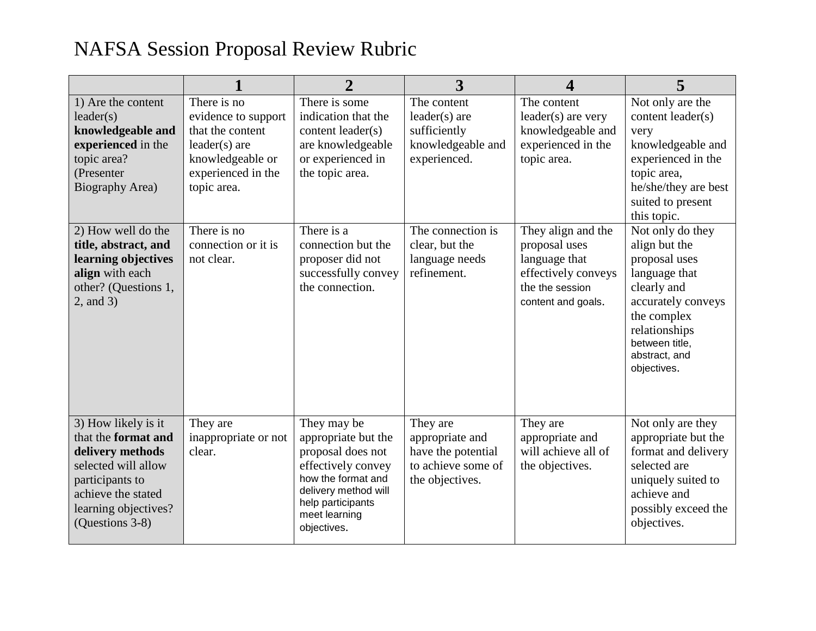## NAFSA Session Proposal Review Rubric

|                                                                                                                                                                           |                                                                                                                                    | $\overline{2}$                                                                                                                                                                   | 3                                                                                          | $\overline{\mathbf{4}}$                                                                                              | 5                                                                                                                                                                                          |
|---------------------------------------------------------------------------------------------------------------------------------------------------------------------------|------------------------------------------------------------------------------------------------------------------------------------|----------------------------------------------------------------------------------------------------------------------------------------------------------------------------------|--------------------------------------------------------------------------------------------|----------------------------------------------------------------------------------------------------------------------|--------------------------------------------------------------------------------------------------------------------------------------------------------------------------------------------|
| 1) Are the content<br>leader(s)<br>knowledgeable and<br>experienced in the<br>topic area?<br>(Presenter<br>Biography Area)                                                | There is no<br>evidence to support<br>that the content<br>$leader(s)$ are<br>knowledgeable or<br>experienced in the<br>topic area. | There is some<br>indication that the<br>content leader(s)<br>are knowledgeable<br>or experienced in<br>the topic area.                                                           | The content<br>$leader(s)$ are<br>sufficiently<br>knowledgeable and<br>experienced.        | The content<br>$leader(s)$ are very<br>knowledgeable and<br>experienced in the<br>topic area.                        | Not only are the<br>content leader(s)<br>very<br>knowledgeable and<br>experienced in the<br>topic area,<br>he/she/they are best<br>suited to present<br>this topic.                        |
| 2) How well do the<br>title, abstract, and<br>learning objectives<br>align with each<br>other? (Questions 1,<br>$2$ , and $3)$                                            | There is no<br>connection or it is<br>not clear.                                                                                   | There is a<br>connection but the<br>proposer did not<br>successfully convey<br>the connection.                                                                                   | The connection is<br>clear, but the<br>language needs<br>refinement.                       | They align and the<br>proposal uses<br>language that<br>effectively conveys<br>the the session<br>content and goals. | Not only do they<br>align but the<br>proposal uses<br>language that<br>clearly and<br>accurately conveys<br>the complex<br>relationships<br>between title,<br>abstract, and<br>objectives. |
| 3) How likely is it<br>that the format and<br>delivery methods<br>selected will allow<br>participants to<br>achieve the stated<br>learning objectives?<br>(Questions 3-8) | They are<br>inappropriate or not<br>clear.                                                                                         | They may be<br>appropriate but the<br>proposal does not<br>effectively convey<br>how the format and<br>delivery method will<br>help participants<br>meet learning<br>objectives. | They are<br>appropriate and<br>have the potential<br>to achieve some of<br>the objectives. | They are<br>appropriate and<br>will achieve all of<br>the objectives.                                                | Not only are they<br>appropriate but the<br>format and delivery<br>selected are<br>uniquely suited to<br>achieve and<br>possibly exceed the<br>objectives.                                 |